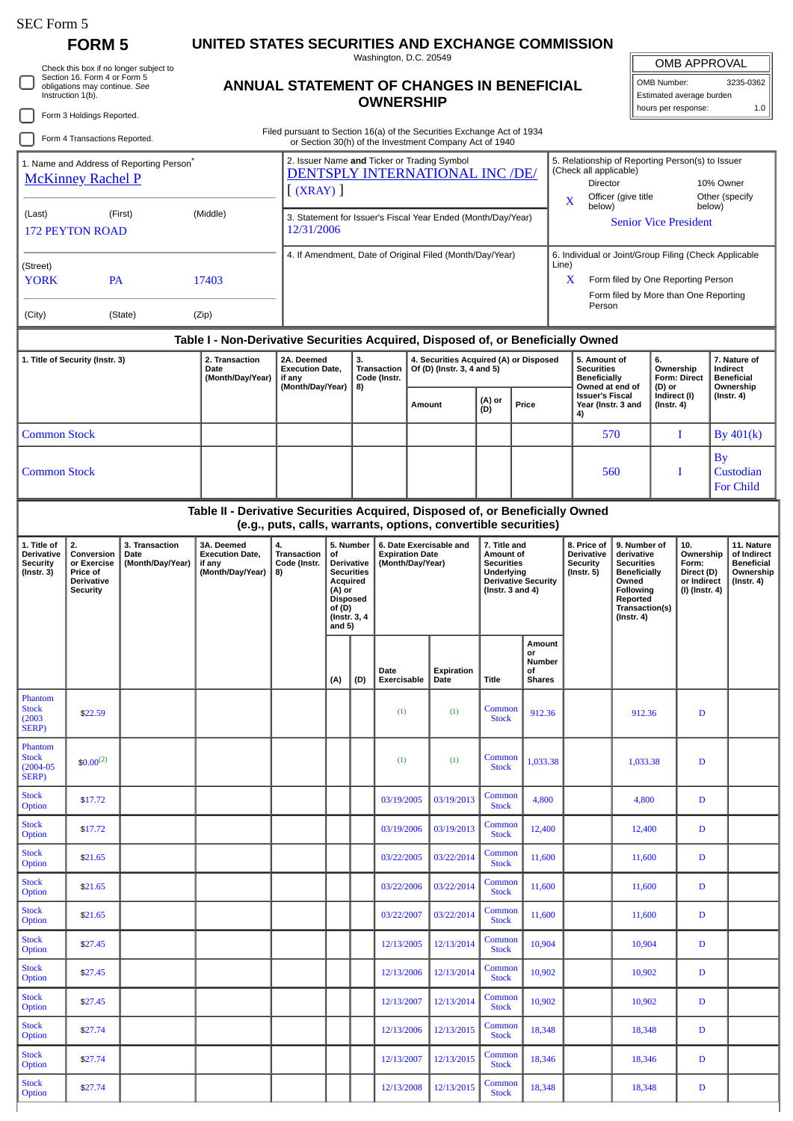## SEC Form 5

Stock<br>Option

Stock<br>Option

## **FORM 5 UNITED STATES SECURITIES AND EXCHANGE COMMISSION**

Check this box if no longer subject to Section 16. Form 4 or Form 5 obligations may continue. *See* Instruction 1(b).

## **ANNUAL STATEMENT OF CHANGES IN BENEFICIAL OWNERSHIP**

Washington, D.C. 20549

OMB APPROVAL

OMB Number: 3235-0362 Estimated average burden hours per response: 1.0

|                                                                                  | Form 3 Holdings Reported.                                                           |                                                                                                                                                                              | <b>OWNERSHIP</b>                                                              |                                                                        |                                                                                                                                          |                                         |                                                                       |                                      |                           |                                                                                                                                                      |                                                                                                                                                              | 1.0<br>hours per response: |                                                                                                                             |                                                                                                                                                |                                                                                      |                                                                          |                                             |                                                                                 |
|----------------------------------------------------------------------------------|-------------------------------------------------------------------------------------|------------------------------------------------------------------------------------------------------------------------------------------------------------------------------|-------------------------------------------------------------------------------|------------------------------------------------------------------------|------------------------------------------------------------------------------------------------------------------------------------------|-----------------------------------------|-----------------------------------------------------------------------|--------------------------------------|---------------------------|------------------------------------------------------------------------------------------------------------------------------------------------------|--------------------------------------------------------------------------------------------------------------------------------------------------------------|----------------------------|-----------------------------------------------------------------------------------------------------------------------------|------------------------------------------------------------------------------------------------------------------------------------------------|--------------------------------------------------------------------------------------|--------------------------------------------------------------------------|---------------------------------------------|---------------------------------------------------------------------------------|
|                                                                                  | Form 4 Transactions Reported.                                                       |                                                                                                                                                                              |                                                                               | Filed pursuant to Section 16(a) of the Securities Exchange Act of 1934 |                                                                                                                                          |                                         |                                                                       |                                      |                           |                                                                                                                                                      |                                                                                                                                                              |                            |                                                                                                                             |                                                                                                                                                |                                                                                      |                                                                          |                                             |                                                                                 |
| 1. Name and Address of Reporting Person <sup>®</sup><br><b>McKinney Rachel P</b> |                                                                                     | or Section 30(h) of the Investment Company Act of 1940<br>2. Issuer Name and Ticker or Trading Symbol<br><b>DENTSPLY INTERNATIONAL INC /DE/</b><br>$\left[$ (XRAY) $\right]$ |                                                                               |                                                                        |                                                                                                                                          |                                         |                                                                       |                                      |                           |                                                                                                                                                      | 5. Relationship of Reporting Person(s) to Issuer<br>(Check all applicable)<br>Director<br>Officer (give title                                                |                            |                                                                                                                             | 10% Owner<br>Other (specify                                                                                                                    |                                                                                      |                                                                          |                                             |                                                                                 |
| (Last)<br><b>172 PEYTON ROAD</b>                                                 |                                                                                     | 3. Statement for Issuer's Fiscal Year Ended (Month/Day/Year)<br>12/31/2006                                                                                                   |                                                                               |                                                                        |                                                                                                                                          |                                         |                                                                       |                                      |                           | X<br>below)<br>below)<br><b>Senior Vice President</b>                                                                                                |                                                                                                                                                              |                            |                                                                                                                             |                                                                                                                                                |                                                                                      |                                                                          |                                             |                                                                                 |
| (Street)<br><b>YORK</b>                                                          |                                                                                     | 4. If Amendment, Date of Original Filed (Month/Day/Year)                                                                                                                     |                                                                               |                                                                        |                                                                                                                                          |                                         |                                                                       |                                      |                           |                                                                                                                                                      | 6. Individual or Joint/Group Filing (Check Applicable<br>Line)<br>X<br>Form filed by One Reporting Person<br>Form filed by More than One Reporting<br>Person |                            |                                                                                                                             |                                                                                                                                                |                                                                                      |                                                                          |                                             |                                                                                 |
| (City)                                                                           |                                                                                     | (State)                                                                                                                                                                      | (Zip)                                                                         |                                                                        |                                                                                                                                          |                                         |                                                                       |                                      |                           |                                                                                                                                                      |                                                                                                                                                              |                            |                                                                                                                             |                                                                                                                                                |                                                                                      |                                                                          |                                             |                                                                                 |
|                                                                                  | 1. Title of Security (Instr. 3)                                                     |                                                                                                                                                                              | 2. Transaction<br>Date<br>(Month/Day/Year)                                    | 2A. Deemed<br><b>Execution Date,</b><br>if any<br>(Month/Day/Year)     |                                                                                                                                          | 3.<br>Transaction<br>Code (Instr.<br>8) |                                                                       | Of (D) (Instr. 3, 4 and 5)<br>Amount |                           | Table I - Non-Derivative Securities Acquired, Disposed of, or Beneficially Owned<br>4. Securities Acquired (A) or Disposed<br>(A) or<br>Price<br>(D) |                                                                                                                                                              |                            | 5. Amount of<br><b>Securities</b><br><b>Beneficially</b><br>Owned at end of<br><b>Issuer's Fiscal</b><br>Year (Instr. 3 and |                                                                                                                                                | 6.<br>Ownership<br><b>Form: Direct</b><br>(D) or<br>Indirect (I)<br>$($ Instr. 4 $)$ |                                                                          | Indirect<br><b>Beneficial</b><br>(Instr. 4) | 7. Nature of<br>Ownership                                                       |
| <b>Common Stock</b>                                                              |                                                                                     |                                                                                                                                                                              |                                                                               |                                                                        |                                                                                                                                          |                                         |                                                                       |                                      |                           |                                                                                                                                                      |                                                                                                                                                              |                            | 4)                                                                                                                          | 570                                                                                                                                            |                                                                                      | I                                                                        | By 401(k)                                   |                                                                                 |
| <b>Common Stock</b>                                                              |                                                                                     |                                                                                                                                                                              |                                                                               |                                                                        |                                                                                                                                          |                                         |                                                                       |                                      |                           |                                                                                                                                                      |                                                                                                                                                              | 560                        |                                                                                                                             |                                                                                                                                                |                                                                                      | <b>By</b><br>I                                                           |                                             | <b>Custodian</b><br><b>For Child</b>                                            |
|                                                                                  |                                                                                     |                                                                                                                                                                              | Table II - Derivative Securities Acquired, Disposed of, or Beneficially Owned | (e.g., puts, calls, warrants, options, convertible securities)         |                                                                                                                                          |                                         |                                                                       |                                      |                           |                                                                                                                                                      |                                                                                                                                                              |                            |                                                                                                                             |                                                                                                                                                |                                                                                      |                                                                          |                                             |                                                                                 |
| 1. Title of<br>Derivative<br><b>Security</b><br>(Instr. 3)                       | 2.<br>Conversion<br>or Exercise<br>Price of<br><b>Derivative</b><br><b>Security</b> | 3. Transaction<br>Date<br>(Month/Day/Year)                                                                                                                                   | 3A. Deemed<br><b>Execution Date,</b><br>if any<br>(Month/Day/Year)            | 4.<br>Transaction<br>Code (Instr.<br>8)                                | 5. Number<br>of<br><b>Derivative</b><br><b>Securities</b><br>Acquired<br>(A) or<br><b>Disposed</b><br>of (D)<br>(Instr. 3, 4<br>and $5)$ |                                         | 6. Date Exercisable and<br><b>Expiration Date</b><br>(Month/Day/Year) |                                      |                           | 7. Title and<br>Amount of<br><b>Securities</b><br>Underlying<br><b>Derivative Security</b><br>(Instr. $3$ and $4$ )                                  |                                                                                                                                                              |                            | 8. Price of<br><b>Derivative</b><br><b>Security</b><br>$($ Instr. 5 $)$                                                     | 9. Number of<br>derivative<br><b>Securities</b><br><b>Beneficially</b><br>Owned<br>Following<br>Reported<br>Transaction(s)<br>$($ Instr. 4 $)$ |                                                                                      | 10.<br>Ownership<br>Form:<br>Direct (D)<br>or Indirect<br>(I) (Instr. 4) |                                             | 11. Nature<br>of Indirect<br><b>Beneficial</b><br>Ownership<br>$($ Instr. 4 $)$ |
|                                                                                  |                                                                                     |                                                                                                                                                                              |                                                                               |                                                                        | (A)                                                                                                                                      | (D)                                     | Date<br>Exercisable                                                   |                                      | <b>Expiration</b><br>Date | <b>Title</b>                                                                                                                                         | Amount<br>or<br>Number<br>οf<br><b>Shares</b>                                                                                                                |                            |                                                                                                                             |                                                                                                                                                |                                                                                      |                                                                          |                                             |                                                                                 |
| Phantom<br><b>Stock</b><br>(2003)<br>SERP)                                       | \$22.59                                                                             |                                                                                                                                                                              |                                                                               |                                                                        |                                                                                                                                          |                                         | (1)                                                                   |                                      | (1)                       | Common<br><b>Stock</b>                                                                                                                               | 912.36                                                                                                                                                       |                            |                                                                                                                             | 912.36                                                                                                                                         | $\mathbf D$                                                                          |                                                                          |                                             |                                                                                 |
| Phantom<br><b>Stock</b><br>$(2004 - 05)$<br><b>SERP</b> )                        | $$0.00^{(2)}$                                                                       |                                                                                                                                                                              |                                                                               |                                                                        |                                                                                                                                          |                                         | (1)                                                                   |                                      | (1)                       | Common<br><b>Stock</b>                                                                                                                               | 1,033.38                                                                                                                                                     |                            |                                                                                                                             | 1,033.38                                                                                                                                       |                                                                                      | D                                                                        |                                             |                                                                                 |
| <b>Stock</b><br>Option                                                           | \$17.72                                                                             |                                                                                                                                                                              |                                                                               |                                                                        |                                                                                                                                          |                                         | 03/19/2005                                                            |                                      | 03/19/2013                | Common<br><b>Stock</b>                                                                                                                               | 4,800                                                                                                                                                        |                            |                                                                                                                             | 4,800                                                                                                                                          |                                                                                      | D                                                                        |                                             |                                                                                 |
| <b>Stock</b><br>Option                                                           | \$17.72                                                                             |                                                                                                                                                                              |                                                                               |                                                                        |                                                                                                                                          |                                         | 03/19/2006                                                            |                                      | 03/19/2013                | Common<br><b>Stock</b>                                                                                                                               | 12,400                                                                                                                                                       |                            |                                                                                                                             | 12,400                                                                                                                                         |                                                                                      | D                                                                        |                                             |                                                                                 |
| <b>Stock</b><br>Option                                                           | \$21.65                                                                             |                                                                                                                                                                              |                                                                               |                                                                        |                                                                                                                                          |                                         | 03/22/2005                                                            |                                      | 03/22/2014                | Common<br><b>Stock</b>                                                                                                                               | 11,600                                                                                                                                                       |                            |                                                                                                                             | 11,600                                                                                                                                         |                                                                                      | D                                                                        |                                             |                                                                                 |
| <b>Stock</b><br>Option                                                           | \$21.65                                                                             |                                                                                                                                                                              |                                                                               |                                                                        |                                                                                                                                          |                                         | 03/22/2006                                                            |                                      | 03/22/2014                | Common<br><b>Stock</b>                                                                                                                               | 11,600                                                                                                                                                       |                            |                                                                                                                             | 11,600                                                                                                                                         |                                                                                      | D                                                                        |                                             |                                                                                 |
| <b>Stock</b><br>Option                                                           | \$21.65                                                                             |                                                                                                                                                                              |                                                                               |                                                                        |                                                                                                                                          |                                         | 03/22/2007                                                            |                                      | 03/22/2014                | Common<br><b>Stock</b>                                                                                                                               | 11,600                                                                                                                                                       |                            |                                                                                                                             | 11,600                                                                                                                                         |                                                                                      | D                                                                        |                                             |                                                                                 |
| <b>Stock</b><br>Option                                                           | \$27.45                                                                             |                                                                                                                                                                              |                                                                               |                                                                        |                                                                                                                                          |                                         | 12/13/2005                                                            |                                      | 12/13/2014                | Common<br><b>Stock</b>                                                                                                                               | 10,904                                                                                                                                                       |                            |                                                                                                                             | 10,904                                                                                                                                         |                                                                                      | D                                                                        |                                             |                                                                                 |
| <b>Stock</b><br>Option                                                           | \$27.45                                                                             |                                                                                                                                                                              |                                                                               |                                                                        |                                                                                                                                          |                                         | 12/13/2006                                                            |                                      | 12/13/2014                | Common<br><b>Stock</b>                                                                                                                               | 10,902                                                                                                                                                       |                            |                                                                                                                             | 10,902                                                                                                                                         |                                                                                      | D                                                                        |                                             |                                                                                 |
| <b>Stock</b><br>Option                                                           | \$27.45                                                                             |                                                                                                                                                                              |                                                                               |                                                                        |                                                                                                                                          |                                         | 12/13/2007                                                            |                                      | 12/13/2014                | Common<br><b>Stock</b>                                                                                                                               | 10,902                                                                                                                                                       |                            |                                                                                                                             | 10,902                                                                                                                                         |                                                                                      | D                                                                        |                                             |                                                                                 |
| <b>Stock</b><br>Option                                                           | \$27.74                                                                             |                                                                                                                                                                              |                                                                               |                                                                        |                                                                                                                                          |                                         | 12/13/2006                                                            |                                      | 12/13/2015                | Common<br><b>Stock</b>                                                                                                                               | 18,348                                                                                                                                                       |                            |                                                                                                                             | 18,348                                                                                                                                         |                                                                                      | D                                                                        |                                             |                                                                                 |

Common 18,346 18,346 D

Stock 18,348 18,348 D

Stock \$27.74 | \$27.74 | 12/13/2007 | 12/13/2007 | 12/13/2007 | 12/13/2007 | 12/13/2007 | 12/13/2015 | Common

Option \$27.74 12/13/2008 12/13/2015 Common